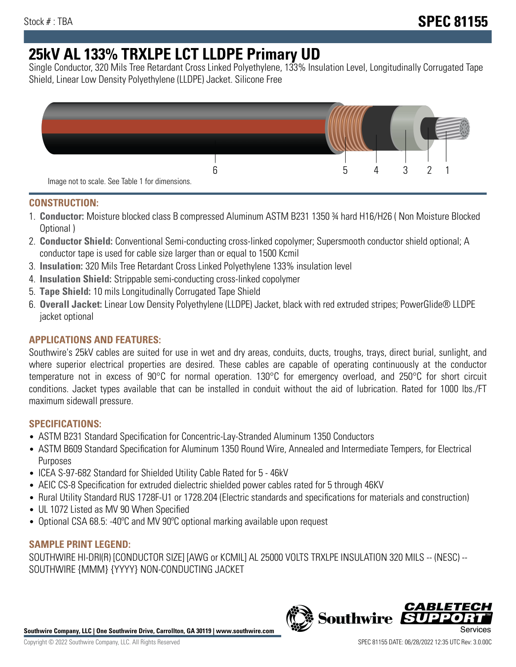# **25kV AL 133% TRXLPE LCT LLDPE Primary UD**

Single Conductor, 320 Mils Tree Retardant Cross Linked Polyethylene, 133% Insulation Level, Longitudinally Corrugated Tape Shield, Linear Low Density Polyethylene (LLDPE) Jacket. Silicone Free



## **CONSTRUCTION:**

- 1. **Conductor:** Moisture blocked class B compressed Aluminum ASTM B231 1350 ¾ hard H16/H26 ( Non Moisture Blocked Optional )
- 2. **Conductor Shield:** Conventional Semi-conducting cross-linked copolymer; Supersmooth conductor shield optional; A conductor tape is used for cable size larger than or equal to 1500 Kcmil
- 3. **Insulation:** 320 Mils Tree Retardant Cross Linked Polyethylene 133% insulation level
- 4. **Insulation Shield:** Strippable semi-conducting cross-linked copolymer
- 5. **Tape Shield:** 10 mils Longitudinally Corrugated Tape Shield
- 6. **Overall Jacket:** Linear Low Density Polyethylene (LLDPE) Jacket, black with red extruded stripes; PowerGlide® LLDPE jacket optional

# **APPLICATIONS AND FEATURES:**

Southwire's 25kV cables are suited for use in wet and dry areas, conduits, ducts, troughs, trays, direct burial, sunlight, and where superior electrical properties are desired. These cables are capable of operating continuously at the conductor temperature not in excess of 90°C for normal operation. 130°C for emergency overload, and 250°C for short circuit conditions. Jacket types available that can be installed in conduit without the aid of lubrication. Rated for 1000 lbs./FT maximum sidewall pressure.

## **SPECIFICATIONS:**

- ASTM B231 Standard Specification for Concentric-Lay-Stranded Aluminum 1350 Conductors
- ASTM B609 Standard Specification for Aluminum 1350 Round Wire, Annealed and Intermediate Tempers, for Electrical Purposes
- ICEA S-97-682 Standard for Shielded Utility Cable Rated for 5 46kV
- AEIC CS-8 Specification for extruded dielectric shielded power cables rated for 5 through 46KV
- Rural Utility Standard RUS 1728F-U1 or 1728.204 (Electric standards and specifications for materials and construction)
- UL 1072 Listed as MV 90 When Specified
- Optional CSA 68.5: -40ºC and MV 90ºC optional marking available upon request

## **SAMPLE PRINT LEGEND:**

SOUTHWIRE HI-DRI(R) [CONDUCTOR SIZE] [AWG or KCMIL] AL 25000 VOLTS TRXLPE INSULATION 320 MILS -- (NESC) -- SOUTHWIRE {MMM} {YYYY} NON-CONDUCTING JACKET

**Southwire Company, LLC | One Southwire Drive, Carrollton, GA 30119 | www.southwire.com**

*CABLE*